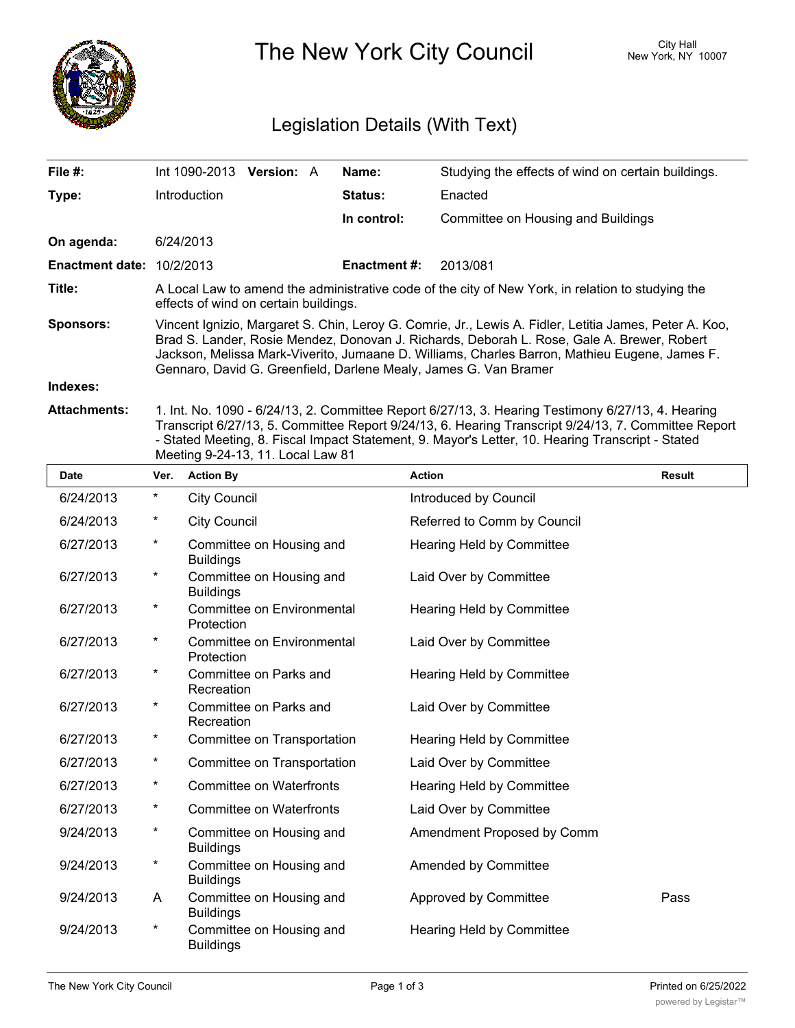

The New York City Council New York, NY 10007

## Legislation Details (With Text)

| File #:                          | Int 1090-2013                                                                                                                                                                                                                                                                                                                                                             | <b>Version: A</b> |  | Name:               | Studying the effects of wind on certain buildings. |  |
|----------------------------------|---------------------------------------------------------------------------------------------------------------------------------------------------------------------------------------------------------------------------------------------------------------------------------------------------------------------------------------------------------------------------|-------------------|--|---------------------|----------------------------------------------------|--|
| Type:                            | Introduction                                                                                                                                                                                                                                                                                                                                                              |                   |  | <b>Status:</b>      | Enacted                                            |  |
|                                  |                                                                                                                                                                                                                                                                                                                                                                           |                   |  | In control:         | Committee on Housing and Buildings                 |  |
| On agenda:                       | 6/24/2013                                                                                                                                                                                                                                                                                                                                                                 |                   |  |                     |                                                    |  |
| <b>Enactment date: 10/2/2013</b> |                                                                                                                                                                                                                                                                                                                                                                           |                   |  | <b>Enactment #:</b> | 2013/081                                           |  |
| Title:                           | A Local Law to amend the administrative code of the city of New York, in relation to studying the<br>effects of wind on certain buildings.                                                                                                                                                                                                                                |                   |  |                     |                                                    |  |
| <b>Sponsors:</b>                 | Vincent Ignizio, Margaret S. Chin, Leroy G. Comrie, Jr., Lewis A. Fidler, Letitia James, Peter A. Koo,<br>Brad S. Lander, Rosie Mendez, Donovan J. Richards, Deborah L. Rose, Gale A. Brewer, Robert<br>Jackson, Melissa Mark-Viverito, Jumaane D. Williams, Charles Barron, Mathieu Eugene, James F.<br>Gennaro, David G. Greenfield, Darlene Mealy, James G. Van Bramer |                   |  |                     |                                                    |  |
| Indexes:                         |                                                                                                                                                                                                                                                                                                                                                                           |                   |  |                     |                                                    |  |
| Attachments:                     | Int No. 1090 - 6/24/13 2 Committee Report 6/27/13 3 Hearing Testimony 6/27/13 4 Hearing                                                                                                                                                                                                                                                                                   |                   |  |                     |                                                    |  |

**Attachments:** 1. Int. No. 1090 - 6/24/13, 2. Committee Report 6/27/13, 3. Hearing Testimony 6/27/13, 4. Hearing Transcript 6/27/13, 5. Committee Report 9/24/13, 6. Hearing Transcript 9/24/13, 7. Committee Report - Stated Meeting, 8. Fiscal Impact Statement, 9. Mayor's Letter, 10. Hearing Transcript - Stated Meeting 9-24-13, 11. Local Law 81

| <b>Date</b> | Ver.     | <b>Action By</b>                                | <b>Action</b>               | <b>Result</b> |
|-------------|----------|-------------------------------------------------|-----------------------------|---------------|
| 6/24/2013   | $^\star$ | <b>City Council</b>                             | Introduced by Council       |               |
| 6/24/2013   | $^\star$ | <b>City Council</b>                             | Referred to Comm by Council |               |
| 6/27/2013   | $\star$  | Committee on Housing and<br><b>Buildings</b>    | Hearing Held by Committee   |               |
| 6/27/2013   | $\star$  | Committee on Housing and<br><b>Buildings</b>    | Laid Over by Committee      |               |
| 6/27/2013   | $^\star$ | <b>Committee on Environmental</b><br>Protection | Hearing Held by Committee   |               |
| 6/27/2013   | $\star$  | <b>Committee on Environmental</b><br>Protection | Laid Over by Committee      |               |
| 6/27/2013   | $^\star$ | Committee on Parks and<br>Recreation            | Hearing Held by Committee   |               |
| 6/27/2013   | $^\star$ | Committee on Parks and<br>Recreation            | Laid Over by Committee      |               |
| 6/27/2013   | $\star$  | Committee on Transportation                     | Hearing Held by Committee   |               |
| 6/27/2013   | $\star$  | Committee on Transportation                     | Laid Over by Committee      |               |
| 6/27/2013   | $\star$  | <b>Committee on Waterfronts</b>                 | Hearing Held by Committee   |               |
| 6/27/2013   | $\star$  | <b>Committee on Waterfronts</b>                 | Laid Over by Committee      |               |
| 9/24/2013   | $\star$  | Committee on Housing and<br><b>Buildings</b>    | Amendment Proposed by Comm  |               |
| 9/24/2013   | $\star$  | Committee on Housing and<br><b>Buildings</b>    | Amended by Committee        |               |
| 9/24/2013   | A        | Committee on Housing and<br><b>Buildings</b>    | Approved by Committee       | Pass          |
| 9/24/2013   | $\star$  | Committee on Housing and<br><b>Buildings</b>    | Hearing Held by Committee   |               |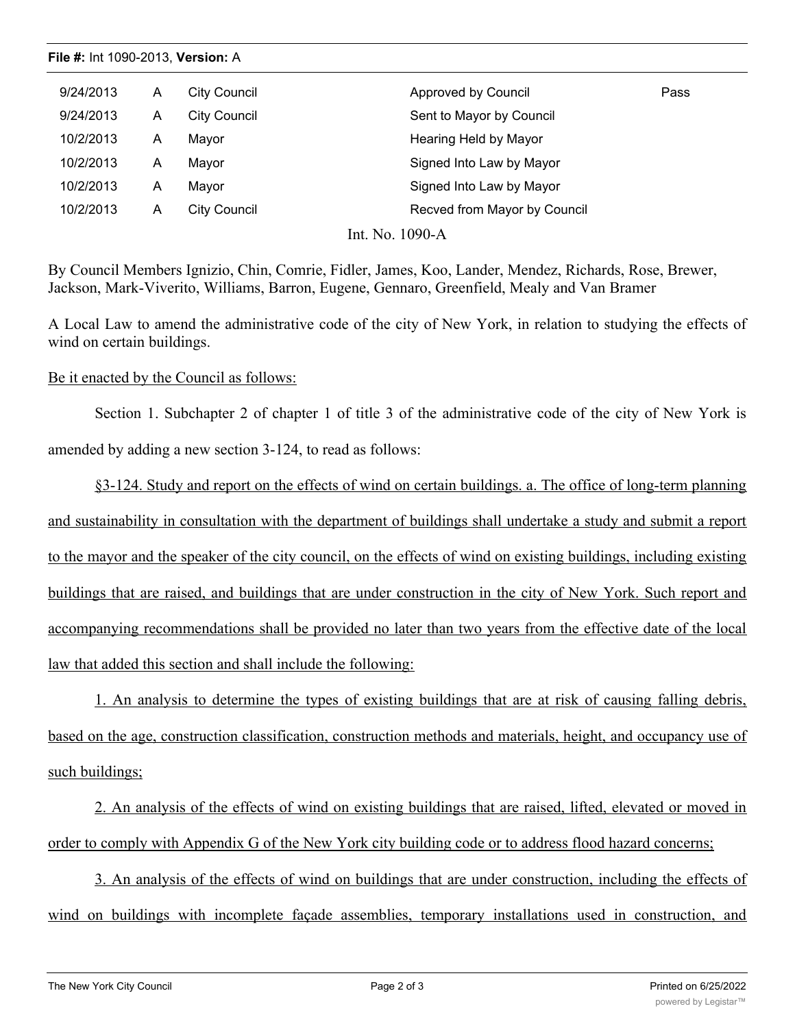**File #:** Int 1090-2013, **Version:** A

| 9/24/2013 | A | City Council        | Approved by Council          | Pass |
|-----------|---|---------------------|------------------------------|------|
| 9/24/2013 | A | <b>City Council</b> | Sent to Mayor by Council     |      |
| 10/2/2013 | Α | Mayor               | Hearing Held by Mayor        |      |
| 10/2/2013 | A | Mayor               | Signed Into Law by Mayor     |      |
| 10/2/2013 | Α | Mayor               | Signed Into Law by Mayor     |      |
| 10/2/2013 | A | City Council        | Recved from Mayor by Council |      |
|           |   |                     | Int. No. 1090-A              |      |

By Council Members Ignizio, Chin, Comrie, Fidler, James, Koo, Lander, Mendez, Richards, Rose, Brewer, Jackson, Mark-Viverito, Williams, Barron, Eugene, Gennaro, Greenfield, Mealy and Van Bramer

A Local Law to amend the administrative code of the city of New York, in relation to studying the effects of wind on certain buildings.

## Be it enacted by the Council as follows:

Section 1. Subchapter 2 of chapter 1 of title 3 of the administrative code of the city of New York is amended by adding a new section 3-124, to read as follows:

§3-124. Study and report on the effects of wind on certain buildings. a. The office of long-term planning and sustainability in consultation with the department of buildings shall undertake a study and submit a report to the mayor and the speaker of the city council, on the effects of wind on existing buildings, including existing buildings that are raised, and buildings that are under construction in the city of New York. Such report and accompanying recommendations shall be provided no later than two years from the effective date of the local law that added this section and shall include the following:

1. An analysis to determine the types of existing buildings that are at risk of causing falling debris, based on the age, construction classification, construction methods and materials, height, and occupancy use of such buildings;

2. An analysis of the effects of wind on existing buildings that are raised, lifted, elevated or moved in order to comply with Appendix G of the New York city building code or to address flood hazard concerns;

3. An analysis of the effects of wind on buildings that are under construction, including the effects of wind on buildings with incomplete façade assemblies, temporary installations used in construction, and